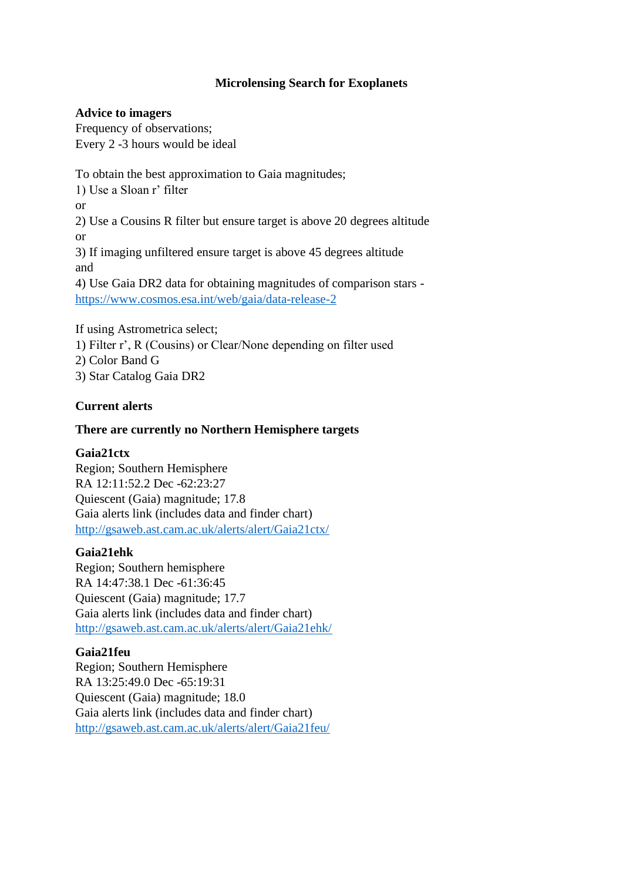# **Microlensing Search for Exoplanets**

### **Advice to imagers**

Frequency of observations; Every 2 -3 hours would be ideal

To obtain the best approximation to Gaia magnitudes; 1) Use a Sloan r' filter or 2) Use a Cousins R filter but ensure target is above 20 degrees altitude or 3) If imaging unfiltered ensure target is above 45 degrees altitude and

4) Use Gaia DR2 data for obtaining magnitudes of comparison stars <https://www.cosmos.esa.int/web/gaia/data-release-2>

If using Astrometrica select; 1) Filter r', R (Cousins) or Clear/None depending on filter used 2) Color Band G 3) Star Catalog Gaia DR2

# **Current alerts**

### **There are currently no Northern Hemisphere targets**

### **Gaia21ctx**

Region; Southern Hemisphere RA 12:11:52.2 Dec -62:23:27 Quiescent (Gaia) magnitude; 17.8 Gaia alerts link (includes data and finder chart) <http://gsaweb.ast.cam.ac.uk/alerts/alert/Gaia21ctx/>

### **Gaia21ehk**

Region; Southern hemisphere RA 14:47:38.1 Dec -61:36:45 Quiescent (Gaia) magnitude; 17.7 Gaia alerts link (includes data and finder chart) <http://gsaweb.ast.cam.ac.uk/alerts/alert/Gaia21ehk/>

# **Gaia21feu**

Region; Southern Hemisphere RA 13:25:49.0 Dec -65:19:31 Quiescent (Gaia) magnitude; 18.0 Gaia alerts link (includes data and finder chart) <http://gsaweb.ast.cam.ac.uk/alerts/alert/Gaia21feu/>